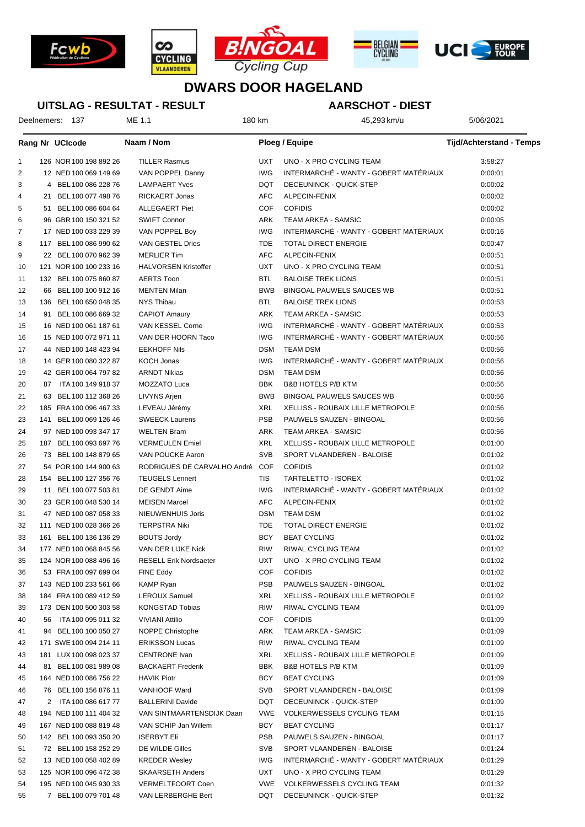







## **DWARS DOOR HAGELAND**

#### **UITSLAG - RESULTAT - RESULT**

### **AARSCHOT - DIEST**

Deelnemers: 137 ME 1.1 1 3:58:293 km/u 45,293 km/u 5/06/2021

|                |     | Rang Nr UCIcode        | Naam / Nom                    |            | <b>Ploeg / Equipe</b>                  | <b>Tijd/Achterstand - Temps</b> |
|----------------|-----|------------------------|-------------------------------|------------|----------------------------------------|---------------------------------|
| $\mathbf{1}$   |     | 126 NOR 100 198 892 26 | <b>TILLER Rasmus</b>          | UXT        | UNO - X PRO CYCLING TEAM               | 3:58:27                         |
| $\overline{2}$ |     | 12 NED 100 069 149 69  | VAN POPPEL Danny              | <b>IWG</b> | INTERMARCHÉ - WANTY - GOBERT MATÉRIAUX | 0:00:01                         |
| 3              |     | 4 BEL 100 086 228 76   | <b>LAMPAERT Yves</b>          | <b>DQT</b> | DECEUNINCK - QUICK-STEP                | 0:00:02                         |
| 4              |     | 21 BEL 100 077 498 76  | <b>RICKAERT Jonas</b>         | <b>AFC</b> | ALPECIN-FENIX                          | 0:00:02                         |
| 5              |     | 51 BEL 100 086 604 64  | <b>ALLEGAERT Piet</b>         | <b>COF</b> | <b>COFIDIS</b>                         | 0:00:02                         |
| 6              |     | 96 GBR 100 150 321 52  | <b>SWIFT Connor</b>           | ARK        | TEAM ARKEA - SAMSIC                    | 0:00:05                         |
| 7              |     | 17 NED 100 033 229 39  | VAN POPPEL Boy                | <b>IWG</b> | INTERMARCHÉ - WANTY - GOBERT MATÉRIAUX | 0:00:16                         |
| 8              |     | 117 BEL 100 086 990 62 | VAN GESTEL Dries              | TDE        | <b>TOTAL DIRECT ENERGIE</b>            | 0:00:47                         |
| 9              |     | 22 BEL 100 070 962 39  | <b>MERLIER Tim</b>            | <b>AFC</b> | ALPECIN-FENIX                          |                                 |
|                |     | 121 NOR 100 100 233 16 | <b>HALVORSEN Kristoffer</b>   | <b>UXT</b> | UNO - X PRO CYCLING TEAM               | 0:00:51                         |
| 10             |     |                        |                               |            |                                        | 0:00:51                         |
| 11             |     | 132 BEL 100 075 860 87 | <b>AERTS Toon</b>             | <b>BTL</b> | <b>BALOISE TREK LIONS</b>              | 0:00:51                         |
| 12             | 66  | BEL 100 100 912 16     | <b>MENTEN Milan</b>           | <b>BWB</b> | BINGOAL PAUWELS SAUCES WB              | 0:00:51                         |
| 13             | 136 | BEL 100 650 048 35     | NYS Thibau                    | <b>BTL</b> | <b>BALOISE TREK LIONS</b>              | 0:00:53                         |
| 14             |     | 91 BEL 100 086 669 32  | <b>CAPIOT Amaury</b>          | ARK        | TEAM ARKEA - SAMSIC                    | 0:00:53                         |
| 15             |     | 16 NED 100 061 187 61  | VAN KESSEL Corne              | IWG        | INTERMARCHÉ - WANTY - GOBERT MATÉRIAUX | 0:00:53                         |
| 16             |     | 15 NED 100 072 971 11  | VAN DER HOORN Taco            | IWG        | INTERMARCHÉ - WANTY - GOBERT MATÉRIAUX | 0:00:56                         |
| 17             |     | 44 NED 100 148 423 94  | <b>EEKHOFF Nils</b>           | <b>DSM</b> | <b>TEAM DSM</b>                        | 0:00:56                         |
| 18             |     | 14 GER 100 080 322 87  | KOCH Jonas                    | <b>IWG</b> | INTERMARCHÉ - WANTY - GOBERT MATÉRIAUX | 0:00:56                         |
| 19             |     | 42 GER 100 064 797 82  | <b>ARNDT Nikias</b>           | <b>DSM</b> | <b>TEAM DSM</b>                        | 0:00:56                         |
| 20             |     | 87 ITA 100 149 918 37  | MOZZATO Luca                  | BBK        | <b>B&amp;B HOTELS P/B KTM</b>          | 0:00:56                         |
| 21             |     | 63 BEL 100 112 368 26  | LIVYNS Arjen                  | <b>BWB</b> | BINGOAL PAUWELS SAUCES WB              | 0:00:56                         |
| 22             |     | 185 FRA 100 096 467 33 | LEVEAU Jérémy                 | XRL        | XELLISS - ROUBAIX LILLE METROPOLE      | 0:00:56                         |
| 23             |     | 141 BEL 100 069 126 46 | <b>SWEECK Laurens</b>         | <b>PSB</b> | PAUWELS SAUZEN - BINGOAL               | 0:00:56                         |
| 24             |     | 97 NED 100 093 347 17  | <b>WELTEN Bram</b>            | ARK        | TEAM ARKEA - SAMSIC                    | 0:00:56                         |
| 25             |     | 187 BEL 100 093 697 76 | <b>VERMEULEN Emiel</b>        | XRL        | XELLISS - ROUBAIX LILLE METROPOLE      | 0:01:00                         |
| 26             |     | 73 BEL 100 148 879 65  | VAN POUCKE Aaron              | SVB        | SPORT VLAANDEREN - BALOISE             | 0:01:02                         |
| 27             |     | 54 POR 100 144 900 63  | RODRIGUES DE CARVALHO André   | COF        | <b>COFIDIS</b>                         | 0:01:02                         |
| 28             |     | 154 BEL 100 127 356 76 | <b>TEUGELS Lennert</b>        | TIS        | TARTELETTO - ISOREX                    | 0:01:02                         |
| 29             |     | 11 BEL 100 077 503 81  | DE GENDT Aime                 | <b>IWG</b> | INTERMARCHÉ - WANTY - GOBERT MATÉRIAUX | 0:01:02                         |
| 30             |     | 23 GER 100 048 530 14  | <b>MEISEN Marcel</b>          | <b>AFC</b> | ALPECIN-FENIX                          | 0:01:02                         |
| 31             |     | 47 NED 100 087 058 33  | NIEUWENHUIS Joris             | <b>DSM</b> | <b>TEAM DSM</b>                        | 0:01:02                         |
| 32             |     | 111 NED 100 028 366 26 | TERPSTRA Niki                 | TDE        | TOTAL DIRECT ENERGIE                   | 0:01:02                         |
| 33             |     | 161 BEL 100 136 136 29 | <b>BOUTS Jordy</b>            | <b>BCY</b> | <b>BEAT CYCLING</b>                    | 0:01:02                         |
| 34             |     | 177 NED 100 068 845 56 | VAN DER LIJKE Nick            | RIW        | <b>RIWAL CYCLING TEAM</b>              | 0:01:02                         |
| 35             |     | 124 NOR 100 088 496 16 | <b>RESELL Erik Nordsaeter</b> | UXT        | UNO - X PRO CYCLING TEAM               | 0:01:02                         |
| 36             |     | 53 FRA 100 097 699 04  | FINE Eddy                     |            | COF COFIDIS                            | 0:01:02                         |
| 37             |     | 143 NED 100 233 561 66 | <b>KAMP Ryan</b>              | PSB        | PAUWELS SAUZEN - BINGOAL               | 0:01:02                         |
| 38             |     | 184 FRA 100 089 412 59 | <b>LEROUX Samuel</b>          | XRL        | XELLISS - ROUBAIX LILLE METROPOLE      | 0:01:02                         |
| 39             |     | 173 DEN 100 500 303 58 | <b>KONGSTAD Tobias</b>        | RIW        | RIWAL CYCLING TEAM                     | 0:01:09                         |
| 40             | 56  | ITA 100 095 011 32     | <b>VIVIANI Attilio</b>        | COF.       | <b>COFIDIS</b>                         | 0:01:09                         |
| 41             |     | 94 BEL 100 100 050 27  | NOPPE Christophe              | ARK        | TEAM ARKEA - SAMSIC                    | 0:01:09                         |
| 42             |     | 171 SWE 100 094 214 11 | <b>ERIKSSON Lucas</b>         | RIW        | RIWAL CYCLING TEAM                     | 0:01:09                         |
|                |     | 181 LUX 100 098 023 37 | <b>CENTRONE</b> Ivan          | XRL        | XELLISS - ROUBAIX LILLE METROPOLE      | 0:01:09                         |
| 43             |     |                        |                               |            |                                        |                                 |
| 44             |     | 81 BEL 100 081 989 08  | <b>BACKAERT Frederik</b>      | BBK        | <b>B&amp;B HOTELS P/B KTM</b>          | 0:01:09                         |
| 45             |     | 164 NED 100 086 756 22 | <b>HAVIK Piotr</b>            | BCY        | <b>BEAT CYCLING</b>                    | 0:01:09                         |
| 46             |     | 76 BEL 100 156 876 11  | VANHOOF Ward                  | SVB        | SPORT VLAANDEREN - BALOISE             | 0:01:09                         |
| 47             |     | 2 ITA 100 086 617 77   | <b>BALLERINI Davide</b>       | DQT        | DECEUNINCK - QUICK-STEP                | 0:01:09                         |
| 48             |     | 194 NED 100 111 404 32 | VAN SINTMAARTENSDIJK Daan     | <b>VWE</b> | VOLKERWESSELS CYCLING TEAM             | 0:01:15                         |
| 49             |     | 167 NED 100 088 819 48 | VAN SCHIP Jan Willem          | BCY        | <b>BEAT CYCLING</b>                    | 0:01:17                         |
| 50             |     | 142 BEL 100 093 350 20 | <b>ISERBYT Eli</b>            | PSB        | PAUWELS SAUZEN - BINGOAL               | 0:01:17                         |
| 51             |     | 72 BEL 100 158 252 29  | DE WILDE Gilles               | SVB        | SPORT VLAANDEREN - BALOISE             | 0:01:24                         |
| 52             |     | 13 NED 100 058 402 89  | <b>KREDER Wesley</b>          | IWG        | INTERMARCHÉ - WANTY - GOBERT MATÉRIAUX | 0:01:29                         |
| 53             |     | 125 NOR 100 096 472 38 | <b>SKAARSETH Anders</b>       | UXT        | UNO - X PRO CYCLING TEAM               | 0:01:29                         |
| 54             |     | 195 NED 100 045 930 33 | VERMELTFOORT Coen             | <b>VWE</b> | VOLKERWESSELS CYCLING TEAM             | 0:01:32                         |
| 55             |     | 7 BEL 100 079 701 48   | VAN LERBERGHE Bert            | DQT        | DECEUNINCK - QUICK-STEP                | 0:01:32                         |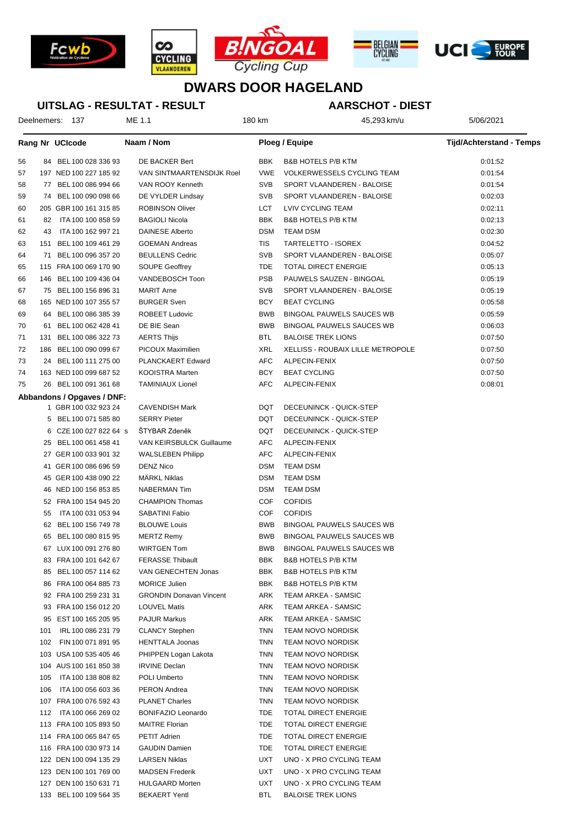







# **DWARS DOOR HAGELAND**

### **UITSLAG - RESULTAT - RESULT**

### **AARSCHOT - DIEST**

Deelnemers: 137 ME 1.1 1 3:58:293 km/u 45,293 km/u 5/06/2021

|           | Rang Nr UCIcode            | Naam / Nom                     |            | Ploeg / Equipe                           | <b>Tijd/Achterstand - Temps</b> |
|-----------|----------------------------|--------------------------------|------------|------------------------------------------|---------------------------------|
| 56        | 84 BEL 100 028 336 93      | DE BACKER Bert                 | <b>BBK</b> | <b>B&amp;B HOTELS P/B KTM</b>            | 0:01:52                         |
| 57        | 197 NED 100 227 185 92     | VAN SINTMAARTENSDIJK Roel      | <b>VWE</b> | <b>VOLKERWESSELS CYCLING TEAM</b>        | 0:01:54                         |
| 58        | 77 BEL 100 086 994 66      | VAN ROOY Kenneth               | <b>SVB</b> | SPORT VLAANDEREN - BALOISE               | 0:01:54                         |
| 59        | 74 BEL 100 090 098 66      | DE VYLDER Lindsay              | <b>SVB</b> | SPORT VLAANDEREN - BALOISE               | 0:02:03                         |
| 60        | 205 GBR 100 161 315 85     | <b>ROBINSON Oliver</b>         | LCT        | LVIV CYCLING TEAM                        | 0:02:11                         |
| 61        | 82<br>ITA 100 100 858 59   | <b>BAGIOLI Nicola</b>          | <b>BBK</b> | <b>B&amp;B HOTELS P/B KTM</b>            | 0:02:13                         |
| 62        | ITA 100 162 997 21<br>43   | DAINESE Alberto                | <b>DSM</b> | <b>TEAM DSM</b>                          | 0:02:30                         |
| 63<br>151 | BEL 100 109 461 29         | <b>GOEMAN Andreas</b>          | TIS        | TARTELETTO - ISOREX                      | 0:04:52                         |
| 64        | BEL 100 096 357 20<br>71   | <b>BEULLENS Cedric</b>         | <b>SVB</b> | SPORT VLAANDEREN - BALOISE               | 0:05:07                         |
| 65        | 115 FRA 100 069 170 90     | <b>SOUPE Geoffrey</b>          | <b>TDE</b> | <b>TOTAL DIRECT ENERGIE</b>              | 0:05:13                         |
| 66        | 146 BEL 100 109 436 04     | VANDEBOSCH Toon                | <b>PSB</b> | PAUWELS SAUZEN - BINGOAL                 | 0:05:19                         |
| 67        | 75 BEL 100 156 896 31      | <b>MARIT Arne</b>              | <b>SVB</b> | SPORT VLAANDEREN - BALOISE               | 0:05:19                         |
| 68        | 165 NED 100 107 355 57     | <b>BURGER Sven</b>             | <b>BCY</b> | <b>BEAT CYCLING</b>                      | 0:05:58                         |
| 69        | 64 BEL 100 086 385 39      | <b>ROBEET Ludovic</b>          | <b>BWB</b> | BINGOAL PAUWELS SAUCES WB                | 0:05:59                         |
| 70        | BEL 100 062 428 41<br>61   | DE BIE Sean                    | <b>BWB</b> | <b>BINGOAL PAUWELS SAUCES WB</b>         | 0:06:03                         |
| 71<br>131 | BEL 100 086 322 73         | <b>AERTS Thijs</b>             | <b>BTL</b> | <b>BALOISE TREK LIONS</b>                | 0:07:50                         |
| 72        | 186 BEL 100 090 099 67     | PICOUX Maximilien              | XRL        | <b>XELLISS - ROUBAIX LILLE METROPOLE</b> | 0:07:50                         |
| 73        | BEL 100 111 275 00<br>24   | PLANCKAERT Edward              | AFC        | ALPECIN-FENIX                            | 0:07:50                         |
| 74        | 163 NED 100 099 687 52     | KOOISTRA Marten                | <b>BCY</b> | <b>BEAT CYCLING</b>                      | 0:07:50                         |
| 75        | 26 BEL 100 091 361 68      | <b>TAMINIAUX Lionel</b>        | AFC        | ALPECIN-FENIX                            | 0:08:01                         |
|           | Abbandons / Opgaves / DNF: |                                |            |                                          |                                 |
|           | 1 GBR 100 032 923 24       | <b>CAVENDISH Mark</b>          | <b>DQT</b> | DECEUNINCK - QUICK-STEP                  |                                 |
|           | BEL 100 071 585 80<br>5    | <b>SERRY Pieter</b>            | <b>DQT</b> | DECEUNINCK - QUICK-STEP                  |                                 |
|           | CZE 100 027 822 64 s<br>6  | STYBAR Zdeněk                  | <b>DQT</b> | DECEUNINCK - QUICK-STEP                  |                                 |
|           | BEL 100 061 458 41<br>25   | VAN KEIRSBULCK Guillaume       | AFC        | ALPECIN-FENIX                            |                                 |
|           | 27 GER 100 033 901 32      | <b>WALSLEBEN Philipp</b>       | <b>AFC</b> | ALPECIN-FENIX                            |                                 |
|           | 41 GER 100 086 696 59      | <b>DENZ Nico</b>               | <b>DSM</b> | <b>TEAM DSM</b>                          |                                 |
|           | 45 GER 100 438 090 22      | <b>MÄRKL Niklas</b>            | <b>DSM</b> | <b>TEAM DSM</b>                          |                                 |
|           | 46 NED 100 156 853 85      | <b>NABERMAN Tim</b>            | <b>DSM</b> | <b>TEAM DSM</b>                          |                                 |
|           | 52 FRA 100 154 945 20      | <b>CHAMPION Thomas</b>         | <b>COF</b> | <b>COFIDIS</b>                           |                                 |
|           | ITA 100 031 053 94<br>55   | SABATINI Fabio                 | <b>COF</b> | <b>COFIDIS</b>                           |                                 |
|           | 62<br>BEL 100 156 749 78   | <b>BLOUWE Louis</b>            | <b>BWB</b> | <b>BINGOAL PAUWELS SAUCES WB</b>         |                                 |
|           | BEL 100 080 815 95<br>65   | <b>MERTZ Remy</b>              | <b>BWB</b> | BINGOAL PAUWELS SAUCES WB                |                                 |
|           | 67 LUX 100 091 276 80      | <b>WIRTGEN Tom</b>             | <b>BWB</b> | BINGOAL PAUWELS SAUCES WB                |                                 |
|           | 83 FRA 100 101 642 67      | <b>FERASSE Thibault</b>        | <b>BBK</b> | <b>B&amp;B HOTELS P/B KTM</b>            |                                 |
|           | BEL 100 057 114 62<br>85   | VAN GENECHTEN Jonas            | BBK        | <b>B&amp;B HOTELS P/B KTM</b>            |                                 |
|           | 86 FRA 100 064 885 73      | <b>MORICE Julien</b>           | BBK        | <b>B&amp;B HOTELS P/B KTM</b>            |                                 |
|           | 92 FRA 100 259 231 31      | <b>GRONDIN Donavan Vincent</b> | ARK        | TEAM ARKEA - SAMSIC                      |                                 |
|           | 93 FRA 100 156 012 20      | <b>LOUVEL Matis</b>            | ARK        | TEAM ARKEA - SAMSIC                      |                                 |
|           | EST 100 165 205 95<br>95   | <b>PAJUR Markus</b>            | ARK        | TEAM ARKEA - SAMSIC                      |                                 |
| 101       | IRL 100 086 231 79         | <b>CLANCY Stephen</b>          | <b>TNN</b> | <b>TEAM NOVO NORDISK</b>                 |                                 |
| 102       | FIN 100 071 891 95         | <b>HENTTALA Joonas</b>         | <b>TNN</b> | <b>TEAM NOVO NORDISK</b>                 |                                 |
|           | 103 USA 100 535 405 46     | PHIPPEN Logan Lakota           | <b>TNN</b> | <b>TEAM NOVO NORDISK</b>                 |                                 |
|           | 104 AUS 100 161 850 38     | <b>IRVINE Declan</b>           | <b>TNN</b> | <b>TEAM NOVO NORDISK</b>                 |                                 |
| 105       | ITA 100 138 808 82         | POLI Umberto                   | <b>TNN</b> | <b>TEAM NOVO NORDISK</b>                 |                                 |
| 106       | ITA 100 056 603 36         | <b>PERON Andrea</b>            | <b>TNN</b> | <b>TEAM NOVO NORDISK</b>                 |                                 |
|           | 107 FRA 100 076 592 43     | <b>PLANET Charles</b>          | <b>TNN</b> | <b>TEAM NOVO NORDISK</b>                 |                                 |
|           | 112 ITA 100 066 269 02     | <b>BONIFAZIO Leonardo</b>      | TDE        | <b>TOTAL DIRECT ENERGIE</b>              |                                 |
|           | 113 FRA 100 105 893 50     | <b>MAITRE Florian</b>          | TDE        | <b>TOTAL DIRECT ENERGIE</b>              |                                 |
|           | 114 FRA 100 065 847 65     | PETIT Adrien                   | <b>TDE</b> | <b>TOTAL DIRECT ENERGIE</b>              |                                 |
|           | 116 FRA 100 030 973 14     | <b>GAUDIN Damien</b>           | <b>TDE</b> | <b>TOTAL DIRECT ENERGIE</b>              |                                 |
|           | 122 DEN 100 094 135 29     | LARSEN Niklas                  | <b>UXT</b> | UNO - X PRO CYCLING TEAM                 |                                 |
|           | 123 DEN 100 101 769 00     | <b>MADSEN Frederik</b>         | <b>UXT</b> | UNO - X PRO CYCLING TEAM                 |                                 |
|           | 127 DEN 100 150 631 71     | <b>HULGAARD Morten</b>         | <b>UXT</b> | UNO - X PRO CYCLING TEAM                 |                                 |
|           | 133 BEL 100 109 564 35     | <b>BEKAERT Yentl</b>           | <b>BTL</b> | <b>BALOISE TREK LIONS</b>                |                                 |